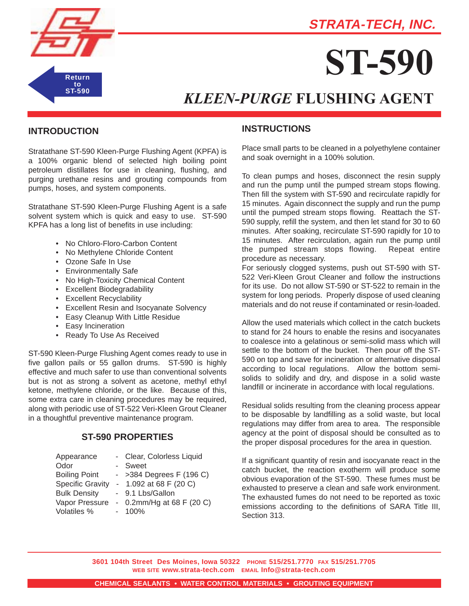## **STRATA-TECH, INC.**



# **ST-590**

## *KLEEN-PURGE* **FLUSHING AGENT**

#### **INTRODUCTION**

Stratathane ST-590 Kleen-Purge Flushing Agent (KPFA) is a 100% organic blend of selected high boiling point petroleum distillates for use in cleaning, flushing, and purging urethane resins and grouting compounds from pumps, hoses, and system components.

Stratathane ST-590 Kleen-Purge Flushing Agent is a safe solvent system which is quick and easy to use. ST-590 KPFA has a long list of benefits in use including:

- No Chloro-Floro-Carbon Content
- No Methylene Chloride Content
- Ozone Safe In Use
- Environmentally Safe
- No High-Toxicity Chemical Content
- Excellent Biodegradability
- Excellent Recyclability
- Excellent Resin and Isocyanate Solvency
- Easy Cleanup With Little Residue
- Easy Incineration
- Ready To Use As Received

ST-590 Kleen-Purge Flushing Agent comes ready to use in five gallon pails or 55 gallon drums. ST-590 is highly effective and much safer to use than conventional solvents but is not as strong a solvent as acetone, methyl ethyl ketone, methylene chloride, or the like. Because of this, some extra care in cleaning procedures may be required, along with periodic use of ST-522 Veri-Kleen Grout Cleaner in a thoughtful preventive maintenance program.

#### **ST-590 PROPERTIES**

| Appearance              | - Clear, Colorless Liquid  |
|-------------------------|----------------------------|
| Odor                    | Sweet                      |
| <b>Boiling Point</b>    | - $>384$ Degrees F (196 C) |
| <b>Specific Gravity</b> | - 1.092 at 68 F $(20 C)$   |
| <b>Bulk Density</b>     | - 9.1 Lbs/Gallon           |
| Vapor Pressure          | - 0.2mm/Hg at 68 F (20 C)  |
| Volatiles %             | 100%                       |

### **INSTRUCTIONS**

Place small parts to be cleaned in a polyethylene container and soak overnight in a 100% solution.

To clean pumps and hoses, disconnect the resin supply and run the pump until the pumped stream stops flowing. Then fill the system with ST-590 and recirculate rapidly for 15 minutes. Again disconnect the supply and run the pump until the pumped stream stops flowing. Reattach the ST-590 supply, refill the system, and then let stand for 30 to 60 minutes. After soaking, recirculate ST-590 rapidly for 10 to 15 minutes. After recirculation, again run the pump until the pumped stream stops flowing. Repeat entire procedure as necessary.

For seriously clogged systems, push out ST-590 with ST-522 Veri-Kleen Grout Cleaner and follow the instructions for its use. Do not allow ST-590 or ST-522 to remain in the system for long periods. Properly dispose of used cleaning materials and do not reuse if contaminated or resin-loaded.

Allow the used materials which collect in the catch buckets to stand for 24 hours to enable the resins and isocyanates to coalesce into a gelatinous or semi-solid mass which will settle to the bottom of the bucket. Then pour off the ST-590 on top and save for incineration or alternative disposal according to local regulations. Allow the bottom semisolids to solidify and dry, and dispose in a solid waste landfill or incinerate in accordance with local regulations.

Residual solids resulting from the cleaning process appear to be disposable by landfilling as a solid waste, but local regulations may differ from area to area. The responsible agency at the point of disposal should be consulted as to the proper disposal procedures for the area in question.

If a significant quantity of resin and isocyanate react in the catch bucket, the reaction exotherm will produce some obvious evaporation of the ST-590. These fumes must be exhausted to preserve a clean and safe work environment. The exhausted fumes do not need to be reported as toxic emissions according to the definitions of SARA Title III, Section 313.

**3601 104th Street Des Moines, Iowa 50322 PHONE 515/251.7770 FAX 515/251.7705 WEB SITE www.strata-tech.com EMAIL Info@strata-tech.com**